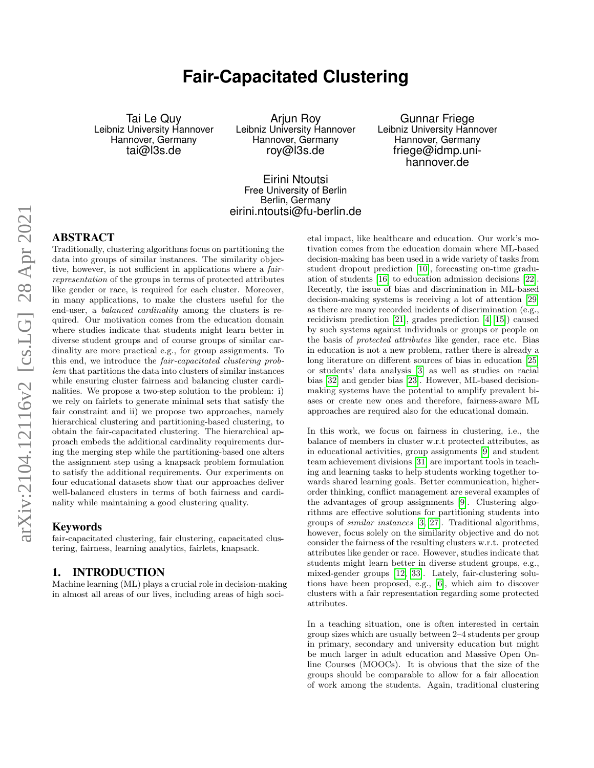# **Fair-Capacitated Clustering**

Tai Le Quy Leibniz University Hannover Hannover, Germany tai@l3s.de

Arjun Roy Leibniz University Hannover Hannover, Germany roy@l3s.de

Gunnar Friege Leibniz University Hannover Hannover, Germany friege@idmp.unihannover.de

# Eirini Ntoutsi Free University of Berlin Berlin, Germany eirini.ntoutsi@fu-berlin.de

# ABSTRACT

Traditionally, clustering algorithms focus on partitioning the data into groups of similar instances. The similarity objective, however, is not sufficient in applications where a *fair*representation of the groups in terms of protected attributes like gender or race, is required for each cluster. Moreover, in many applications, to make the clusters useful for the end-user, a balanced cardinality among the clusters is required. Our motivation comes from the education domain where studies indicate that students might learn better in diverse student groups and of course groups of similar cardinality are more practical e.g., for group assignments. To this end, we introduce the fair-capacitated clustering problem that partitions the data into clusters of similar instances while ensuring cluster fairness and balancing cluster cardinalities. We propose a two-step solution to the problem: i) we rely on fairlets to generate minimal sets that satisfy the fair constraint and ii) we propose two approaches, namely hierarchical clustering and partitioning-based clustering, to obtain the fair-capacitated clustering. The hierarchical approach embeds the additional cardinality requirements during the merging step while the partitioning-based one alters the assignment step using a knapsack problem formulation to satisfy the additional requirements. Our experiments on four educational datasets show that our approaches deliver well-balanced clusters in terms of both fairness and cardinality while maintaining a good clustering quality.

# Keywords

fair-capacitated clustering, fair clustering, capacitated clustering, fairness, learning analytics, fairlets, knapsack.

# 1. INTRODUCTION

Machine learning (ML) plays a crucial role in decision-making in almost all areas of our lives, including areas of high societal impact, like healthcare and education. Our work's motivation comes from the education domain where ML-based decision-making has been used in a wide variety of tasks from student dropout prediction [\[10\]](#page-9-0), forecasting on-time graduation of students [\[16\]](#page-9-1) to education admission decisions [\[22\]](#page-9-2). Recently, the issue of bias and discrimination in ML-based decision-making systems is receiving a lot of attention [\[29\]](#page-9-3) as there are many recorded incidents of discrimination (e.g., recidivism prediction [\[21\]](#page-9-4), grades prediction [\[4,](#page-9-5) [15\]](#page-9-6)) caused by such systems against individuals or groups or people on the basis of protected attributes like gender, race etc. Bias in education is not a new problem, rather there is already a long literature on different sources of bias in education [\[25\]](#page-9-7) or students' data analysis [\[3\]](#page-9-8) as well as studies on racial bias [\[32\]](#page-9-9) and gender bias [\[23\]](#page-9-10). However, ML-based decisionmaking systems have the potential to amplify prevalent biases or create new ones and therefore, fairness-aware ML approaches are required also for the educational domain.

In this work, we focus on fairness in clustering, i.e., the balance of members in cluster w.r.t protected attributes, as in educational activities, group assignments [\[9\]](#page-9-11) and student team achievement divisions [\[31\]](#page-9-12) are important tools in teaching and learning tasks to help students working together towards shared learning goals. Better communication, higherorder thinking, conflict management are several examples of the advantages of group assignments [\[9\]](#page-9-11). Clustering algorithms are effective solutions for partitioning students into groups of similar instances [\[3,](#page-9-8) [27\]](#page-9-13). Traditional algorithms, however, focus solely on the similarity objective and do not consider the fairness of the resulting clusters w.r.t. protected attributes like gender or race. However, studies indicate that students might learn better in diverse student groups, e.g., mixed-gender groups [\[12,](#page-9-14) [33\]](#page-9-15). Lately, fair-clustering solutions have been proposed, e.g., [\[6\]](#page-9-16), which aim to discover clusters with a fair representation regarding some protected attributes.

In a teaching situation, one is often interested in certain group sizes which are usually between 2–4 students per group in primary, secondary and university education but might be much larger in adult education and Massive Open Online Courses (MOOCs). It is obvious that the size of the groups should be comparable to allow for a fair allocation of work among the students. Again, traditional clustering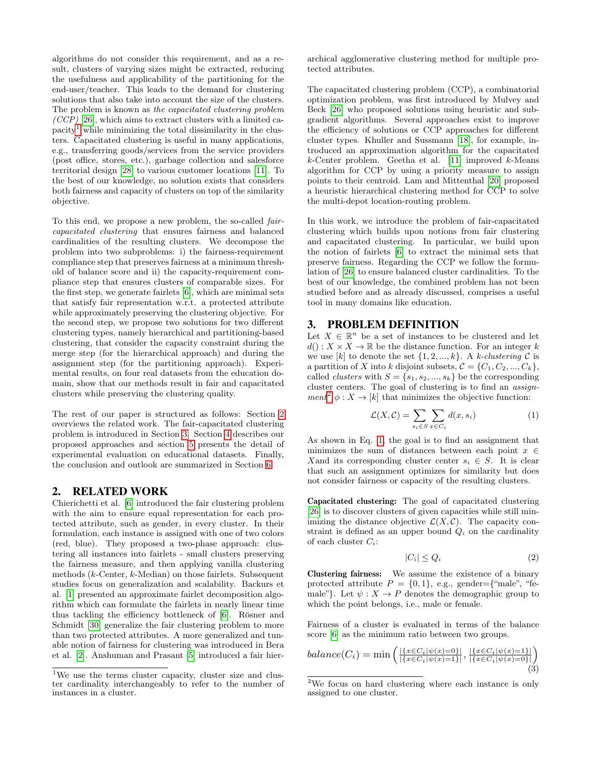algorithms do not consider this requirement, and as a result, clusters of varying sizes might be extracted, reducing the usefulness and applicability of the partitioning for the end-user/teacher. This leads to the demand for clustering solutions that also take into account the size of the clusters. The problem is known as the capacitated clustering problem  $(CCP)$  [\[26\]](#page-9-17), which aims to extract clusters with a limited ca- $\text{parity}^1$  $\text{parity}^1$  while minimizing the total dissimilarity in the clusters. Capacitated clustering is useful in many applications, e.g., transferring goods/services from the service providers (post office, stores, etc.), garbage collection and salesforce territorial design [\[28\]](#page-9-18) to various customer locations [\[11\]](#page-9-19). To the best of our knowledge, no solution exists that considers both fairness and capacity of clusters on top of the similarity objective.

To this end, we propose a new problem, the so-called faircapacitated clustering that ensures fairness and balanced cardinalities of the resulting clusters. We decompose the problem into two subproblems: i) the fairness-requirement compliance step that preserves fairness at a minimum threshold of balance score and ii) the capacity-requirement compliance step that ensures clusters of comparable sizes. For the first step, we generate fairlets [\[6\]](#page-9-16), which are minimal sets that satisfy fair representation w.r.t. a protected attribute while approximately preserving the clustering objective. For the second step, we propose two solutions for two different clustering types, namely hierarchical and partitioning-based clustering, that consider the capacity constraint during the merge step (for the hierarchical approach) and during the assignment step (for the partitioning approach). Experimental results, on four real datasets from the education domain, show that our methods result in fair and capacitated clusters while preserving the clustering quality.

The rest of our paper is structured as follows: Section [2](#page-1-1) overviews the related work. The fair-capacitated clustering problem is introduced in Section [3.](#page-1-2) Section [4](#page-2-0) describes our proposed approaches and section [5](#page-4-0) presents the detail of experimental evaluation on educational datasets. Finally, the conclusion and outlook are summarized in Section [6.](#page-7-0)

# <span id="page-1-1"></span>2. RELATED WORK

Chierichetti et al. [\[6\]](#page-9-16) introduced the fair clustering problem with the aim to ensure equal representation for each protected attribute, such as gender, in every cluster. In their formulation, each instance is assigned with one of two colors (red, blue). They proposed a two-phase approach: clustering all instances into fairlets - small clusters preserving the fairness measure, and then applying vanilla clustering methods (k-Center, k-Median) on those fairlets. Subsequent studies focus on generalization and scalability. Backurs et al. [\[1\]](#page-9-20) presented an approximate fairlet decomposition algorithm which can formulate the fairlets in nearly linear time thus tackling the efficiency bottleneck of [\[6\]](#page-9-16). Rösner and Schmidt [\[30\]](#page-9-21) generalize the fair clustering problem to more than two protected attributes. A more generalized and tunable notion of fairness for clustering was introduced in Bera et al. [\[2\]](#page-9-22). Anshuman and Prasant [\[5\]](#page-9-23) introduced a fair hierarchical agglomerative clustering method for multiple protected attributes.

The capacitated clustering problem (CCP), a combinatorial optimization problem, was first introduced by Mulvey and Beck [\[26\]](#page-9-17) who proposed solutions using heuristic and subgradient algorithms. Several approaches exist to improve the efficiency of solutions or CCP approaches for different cluster types. Khuller and Sussmann [\[18\]](#page-9-24), for example, introduced an approximation algorithm for the capacitated  $k$ -Center problem. Geetha et al. [\[11\]](#page-9-19) improved  $k$ -Means algorithm for CCP by using a priority measure to assign points to their centroid. Lam and Mittenthal [\[20\]](#page-9-25) proposed a heuristic hierarchical clustering method for CCP to solve the multi-depot location-routing problem.

In this work, we introduce the problem of fair-capacitated clustering which builds upon notions from fair clustering and capacitated clustering. In particular, we build upon the notion of fairlets [\[6\]](#page-9-16) to extract the minimal sets that preserve fairness. Regarding the CCP we follow the formulation of [\[26\]](#page-9-17) to ensure balanced cluster cardinalities. To the best of our knowledge, the combined problem has not been studied before and as already discussed, comprises a useful tool in many domains like education.

## <span id="page-1-2"></span>3. PROBLEM DEFINITION

Let  $X \in \mathbb{R}^n$  be a set of instances to be clustered and let  $d() : X \times X \to \mathbb{R}$  be the distance function. For an integer k we use [k] to denote the set  $\{1, 2, ..., k\}$ . A k-clustering C is a partition of X into k disjoint subsets,  $C = \{C_1, C_2, ..., C_k\},\$ called *clusters* with  $S = \{s_1, s_2, ..., s_k\}$  be the corresponding cluster centers. The goal of clustering is to find an assign-ment<sup>[2](#page-1-3)</sup>  $\phi: X \to [k]$  that minimizes the objective function:

<span id="page-1-4"></span>
$$
\mathcal{L}(X,\mathcal{C}) = \sum_{s_i \in S} \sum_{x \in C_i} d(x, s_i) \tag{1}
$$

As shown in Eq. [1,](#page-1-4) the goal is to find an assignment that minimizes the sum of distances between each point  $x \in$ X and its corresponding cluster center  $s_i \in S$ . It is clear that such an assignment optimizes for similarity but does not consider fairness or capacity of the resulting clusters.

Capacitated clustering: The goal of capacitated clustering [\[26\]](#page-9-17) is to discover clusters of given capacities while still minimizing the distance objective  $\mathcal{L}(X,\mathcal{C})$ . The capacity constraint is defined as an upper bound  $Q_i$  on the cardinality of each cluster  $C_i$ :

$$
|C_i| \le Q_i \tag{2}
$$

Clustering fairness: We assume the existence of a binary protected attribute  $P = \{0, 1\}$ , e.g., gender={"male", "female"}. Let  $\psi : X \to P$  denotes the demographic group to which the point belongs, i.e., male or female.

Fairness of a cluster is evaluated in terms of the balance score [\[6\]](#page-9-16) as the minimum ratio between two groups.

$$
balance(C_i) = \min\left(\frac{|\{x \in C_i | \psi(x) = 0\}|}{|\{x \in C_i | \psi(x) = 1\}|}, \frac{|\{x \in C_i | \psi(x) = 1\}|}{|\{x \in C_i | \psi(x) = 0\}|}\right)
$$
\n(3)

<span id="page-1-0"></span><sup>&</sup>lt;sup>1</sup>We use the terms cluster capacity, cluster size and cluster cardinality interchangeably to refer to the number of instances in a cluster.

<span id="page-1-3"></span><sup>2</sup>We focus on hard clustering where each instance is only assigned to one cluster.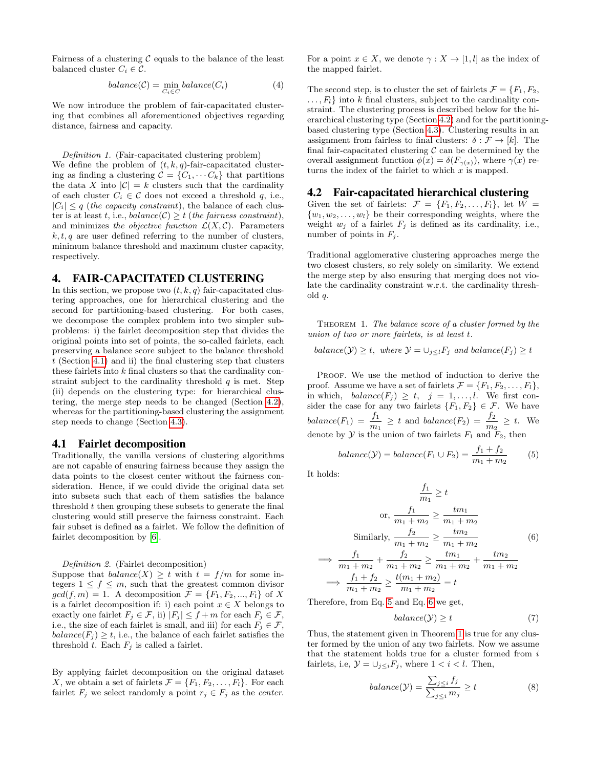Fairness of a clustering  $C$  equals to the balance of the least balanced cluster  $C_i \in \mathcal{C}$ .

<span id="page-2-6"></span>
$$
balance(\mathcal{C}) = \min_{C_i \in C} balance(C_i)
$$
\n(4)

We now introduce the problem of fair-capacitated clustering that combines all aforementioned objectives regarding distance, fairness and capacity.

Definition 1. (Fair-capacitated clustering problem)

We define the problem of  $(t, k, q)$ -fair-capacitated clustering as finding a clustering  $C = \{C_1, \dots C_k\}$  that partitions the data X into  $|\mathcal{C}| = k$  clusters such that the cardinality of each cluster  $C_i \in \mathcal{C}$  does not exceed a threshold q, i.e.,  $|C_i| \leq q$  (the capacity constraint), the balance of each cluster is at least t, i.e.,  $balance(\mathcal{C}) \geq t$  (the fairness constraint), and minimizes the objective function  $\mathcal{L}(X,\mathcal{C})$ . Parameters  $k, t, q$  are user defined referring to the number of clusters, minimum balance threshold and maximum cluster capacity, respectively.

### <span id="page-2-0"></span>4. FAIR-CAPACITATED CLUSTERING

In this section, we propose two  $(t, k, q)$  fair-capacitated clustering approaches, one for hierarchical clustering and the second for partitioning-based clustering. For both cases, we decompose the complex problem into two simpler subproblems: i) the fairlet decomposition step that divides the original points into set of points, the so-called fairlets, each preserving a balance score subject to the balance threshold  $t$  (Section [4.1\)](#page-2-1) and ii) the final clustering step that clusters these fairlets into k final clusters so that the cardinality constraint subject to the cardinality threshold  $q$  is met. Step (ii) depends on the clustering type: for hierarchical clustering, the merge step needs to be changed (Section [4.2\)](#page-2-2), whereas for the partitioning-based clustering the assignment step needs to change (Section [4.3\)](#page-3-0).

#### <span id="page-2-1"></span>4.1 Fairlet decomposition

Traditionally, the vanilla versions of clustering algorithms are not capable of ensuring fairness because they assign the data points to the closest center without the fairness consideration. Hence, if we could divide the original data set into subsets such that each of them satisfies the balance threshold  $t$  then grouping these subsets to generate the final clustering would still preserve the fairness constraint. Each fair subset is defined as a fairlet. We follow the definition of fairlet decomposition by [\[6\]](#page-9-16).

Definition 2. (Fairlet decomposition)

Suppose that  $balance(X) \geq t$  with  $t = f/m$  for some integers  $1 \leq f \leq m$ , such that the greatest common divisor  $gcd(f, m) = 1$ . A decomposition  $\mathcal{F} = \{F_1, F_2, ..., F_l\}$  of X is a fairlet decomposition if: i) each point  $x \in X$  belongs to exactly one fairlet  $F_j \in \mathcal{F}$ , ii)  $|F_j| \leq f+m$  for each  $F_j \in \mathcal{F}$ , i.e., the size of each fairlet is small, and iii) for each  $F_i \in \mathcal{F}$ ,  $balance(F_i) \geq t$ , i.e., the balance of each fairlet satisfies the threshold  $t$ . Each  $F_j$  is called a fairlet.

By applying fairlet decomposition on the original dataset X, we obtain a set of fairlets  $\mathcal{F} = \{F_1, F_2, \ldots, F_l\}$ . For each fairlet  $F_j$  we select randomly a point  $r_j \in F_j$  as the *center*. For a point  $x \in X$ , we denote  $\gamma : X \to [1, l]$  as the index of the mapped fairlet.

The second step, is to cluster the set of fairlets  $\mathcal{F} = \{F_1, F_2,$  $\dots, F_l$  into k final clusters, subject to the cardinality constraint. The clustering process is described below for the hierarchical clustering type (Section [4.2\)](#page-2-2) and for the partitioningbased clustering type (Section [4.3\)](#page-3-0). Clustering results in an assignment from fairless to final clusters:  $\delta : \mathcal{F} \to [k]$ . The final fair-capacitated clustering  $\mathcal C$  can be determined by the overall assignment function  $\phi(x) = \delta(F_{\gamma(x)})$ , where  $\gamma(x)$  returns the index of the fairlet to which  $x$  is mapped.

# <span id="page-2-2"></span>4.2 Fair-capacitated hierarchical clustering

Given the set of fairlets:  $\mathcal{F} = \{F_1, F_2, \ldots, F_l\}$ , let  $W =$  $\{w_1, w_2, \ldots, w_l\}$  be their corresponding weights, where the weight  $w_j$  of a fairlet  $F_j$  is defined as its cardinality, i.e., number of points in  $F_j$ .

Traditional agglomerative clustering approaches merge the two closest clusters, so rely solely on similarity. We extend the merge step by also ensuring that merging does not violate the cardinality constraint w.r.t. the cardinality threshold q.

<span id="page-2-5"></span>THEOREM 1. The balance score of a cluster formed by the union of two or more fairlets, is at least t.

$$
balance(\mathcal{Y}) \geq t
$$
, where  $\mathcal{Y} = \bigcup_{j \leq l} F_j$  and balance $(F_j) \geq t$ 

PROOF. We use the method of induction to derive the proof. Assume we have a set of fairlets  $\mathcal{F} = \{F_1, F_2, \ldots, F_l\},\$ in which,  $balance(F_j) \geq t$ ,  $j = 1, ..., l$ . We first consider the case for any two fairlets  ${F_1, F_2} \in \mathcal{F}$ . We have  $balance(F_1) = \frac{f_1}{m_1} \geq t$  and  $balance(F_2) = \frac{f_2}{m_2} \geq t$ . We denote by  $\mathcal Y$  is the union of two fairlets  $F_1$  and  $\overline{F_2}$ , then

<span id="page-2-3"></span>
$$
balance(\mathcal{Y}) = balance(F_1 \cup F_2) = \frac{f_1 + f_2}{m_1 + m_2} \tag{5}
$$

It holds:

<span id="page-2-4"></span>=⇒

$$
\frac{f_1}{m_1} \ge t
$$
\nor, 
$$
\frac{f_1}{m_1 + m_2} \ge \frac{tm_1}{m_1 + m_2}
$$
\nSimilarly, 
$$
\frac{f_2}{m_1 + m_2} \ge \frac{tm_2}{m_1 + m_2}
$$
\n
$$
\frac{f_1}{m_1 + m_2} + \frac{f_2}{m_1 + m_2} \ge \frac{tm_1}{m_1 + m_2} + \frac{tm_2}{m_1 + m_2}
$$
\n
$$
\frac{f_1}{f_1 + f_2} + \frac{f_2}{m_1 + m_2} \ge \frac{tm_1}{m_1 + m_2} + \frac{tm_2}{m_1 + m_2}
$$
\n(6)

 $\implies$   $\frac{f_1 + f_2}{f_1}$  $\frac{f_1+f_2}{m_1+m_2}\geq \frac{t(m_1+m_2)}{m_1+m_2}$  $\frac{(m_1 + m_2)}{m_1 + m_2} = t$ 

Therefore, from Eq. [5](#page-2-3) and Eq. [6](#page-2-4) we get,

$$
balance(\mathcal{Y}) \ge t \tag{7}
$$

Thus, the statement given in Theorem [1](#page-2-5) is true for any cluster formed by the union of any two fairlets. Now we assume that the statement holds true for a cluster formed from  $i$ fairlets, i.e,  $\mathcal{Y} = \bigcup_{j \leq i} F_j$ , where  $1 < i < l$ . Then,

$$
balance(\mathcal{Y}) = \frac{\sum_{j \leq i} f_j}{\sum_{j \leq i} m_j} \geq t \tag{8}
$$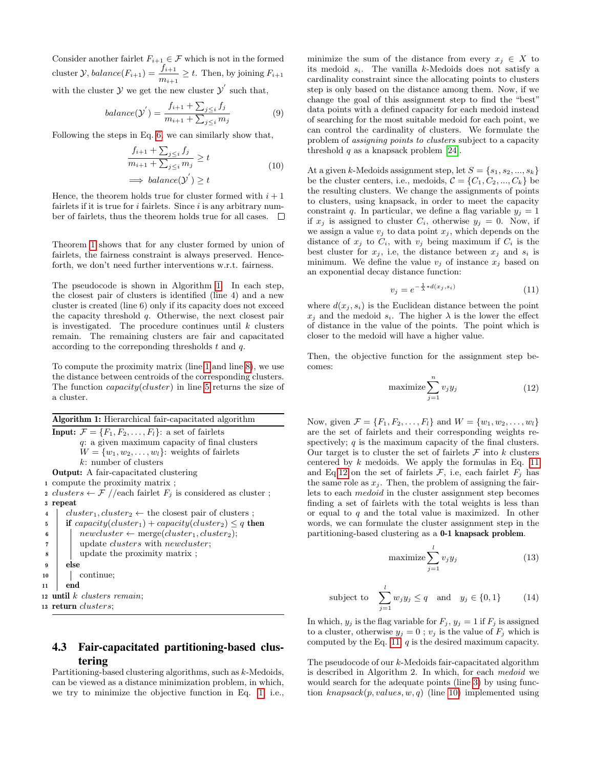Consider another fairlet  $F_{i+1} \in \mathcal{F}$  which is not in the formed cluster  $\mathcal{Y}$ ,  $balance(F_{i+1}) = \frac{f_{i+1}}{m_{i+1}} \geq t$ . Then, by joining  $F_{i+1}$ with the cluster  $\mathcal Y$  we get the new cluster  $\mathcal Y'$  such that,

$$
balance(\mathcal{Y}') = \frac{f_{i+1} + \sum_{j \leq i} f_j}{m_{i+1} + \sum_{j \leq i} m_j}
$$
(9)

Following the steps in Eq. [6,](#page-2-4) we can similarly show that,

$$
\frac{f_{i+1} + \sum_{j \leq i} f_j}{m_{i+1} + \sum_{j \leq i} m_j} \geq t
$$
\n
$$
\implies \text{balance}(\mathcal{Y}') \geq t
$$
\n
$$
(10)
$$

Hence, the theorem holds true for cluster formed with  $i+1$ fairlets if it is true for  $i$  fairlets. Since  $i$  is any arbitrary number of fairlets, thus the theorem holds true for all cases.  $\Box$ 

Theorem [1](#page-2-5) shows that for any cluster formed by union of fairlets, the fairness constraint is always preserved. Henceforth, we don't need further interventions w.r.t. fairness.

The pseudocode is shown in Algorithm [1.](#page-3-1) In each step, the closest pair of clusters is identified (line 4) and a new cluster is created (line 6) only if its capacity does not exceed the capacity threshold q. Otherwise, the next closest pair is investigated. The procedure continues until  $k$  clusters remain. The remaining clusters are fair and capacitated according to the corresponding thresholds  $t$  and  $q$ .

To compute the proximity matrix (line [1](#page-3-2) and line [8\)](#page-3-3), we use the distance between centroids of the corresponding clusters. The function *capacity*(*cluster*) in line [5](#page-3-4) returns the size of a cluster.

<span id="page-3-4"></span><span id="page-3-2"></span>

|                     | <b>Algorithm 1:</b> Hierarchical fair-capacitated algorithm                        |  |  |  |  |  |  |  |
|---------------------|------------------------------------------------------------------------------------|--|--|--|--|--|--|--|
|                     | <b>Input:</b> $\mathcal{F} = \{F_1, F_2, \ldots, F_l\}$ : a set of fairlets        |  |  |  |  |  |  |  |
|                     | $q$ : a given maximum capacity of final clusters                                   |  |  |  |  |  |  |  |
|                     | $W = \{w_1, w_2, \ldots, w_l\}$ : weights of fairlets                              |  |  |  |  |  |  |  |
|                     | $k$ : number of clusters                                                           |  |  |  |  |  |  |  |
|                     | <b>Output:</b> A fair-capacitated clustering                                       |  |  |  |  |  |  |  |
|                     | 1 compute the proximity matrix;                                                    |  |  |  |  |  |  |  |
|                     | 2 clusters $\leftarrow \mathcal{F}$ //each fairlet $F_j$ is considered as cluster; |  |  |  |  |  |  |  |
| 3                   | repeat                                                                             |  |  |  |  |  |  |  |
| $\overline{\bf{4}}$ | $cluster_1, cluster_2 \leftarrow$ the closest pair of clusters;                    |  |  |  |  |  |  |  |
| 5                   | if capacity(cluster <sub>1</sub> ) + capacity(cluster <sub>2</sub> ) $\leq q$ then |  |  |  |  |  |  |  |
| 6                   | $newcluster \leftarrow merge(cluster_1, cluster_2);$                               |  |  |  |  |  |  |  |
| 7                   | update <i>clusters</i> with <i>newcluster</i> ;                                    |  |  |  |  |  |  |  |
| 8                   | update the proximity matrix;                                                       |  |  |  |  |  |  |  |
| 9                   | else                                                                               |  |  |  |  |  |  |  |
| 10                  | continue;                                                                          |  |  |  |  |  |  |  |
| 11                  | end                                                                                |  |  |  |  |  |  |  |
|                     | 12 <b>until</b> $k$ clusters remain;                                               |  |  |  |  |  |  |  |
|                     | $\,$ 13 $\,$ return $\, clusters;$                                                 |  |  |  |  |  |  |  |
|                     |                                                                                    |  |  |  |  |  |  |  |

# <span id="page-3-3"></span><span id="page-3-1"></span><span id="page-3-0"></span>4.3 Fair-capacitated partitioning-based clustering

Partitioning-based clustering algorithms, such as k-Medoids, can be viewed as a distance minimization problem, in which, we try to minimize the objective function in Eq. [1,](#page-1-4) i.e., minimize the sum of the distance from every  $x_i \in X$  to its medoid  $s_i$ . The vanilla k-Medoids does not satisfy a cardinality constraint since the allocating points to clusters step is only based on the distance among them. Now, if we change the goal of this assignment step to find the "best" data points with a defined capacity for each medoid instead of searching for the most suitable medoid for each point, we can control the cardinality of clusters. We formulate the problem of assigning points to clusters subject to a capacity threshold q as a knapsack problem  $[24]$ .

At a given k-Medoids assignment step, let  $S = \{s_1, s_2, ..., s_k\}$ be the cluster centers, i.e., medoids,  $C = \{C_1, C_2, ..., C_k\}$  be the resulting clusters. We change the assignments of points to clusters, using knapsack, in order to meet the capacity constraint q. In particular, we define a flag variable  $y_j = 1$ if  $x_j$  is assigned to cluster  $C_i$ , otherwise  $y_j = 0$ . Now, if we assign a value  $v_j$  to data point  $x_j$ , which depends on the distance of  $x_j$  to  $C_i$ , with  $v_j$  being maximum if  $C_i$  is the best cluster for  $x_j$ , i.e, the distance between  $x_j$  and  $s_i$  is minimum. We define the value  $v_i$  of instance  $x_i$  based on an exponential decay distance function:

<span id="page-3-5"></span>
$$
v_j = e^{-\frac{1}{\lambda} *d(x_j, s_i)}\tag{11}
$$

where  $d(x_i, s_i)$  is the Euclidean distance between the point  $x_i$  and the medoid  $s_i$ . The higher  $\lambda$  is the lower the effect of distance in the value of the points. The point which is closer to the medoid will have a higher value.

Then, the objective function for the assignment step becomes:

<span id="page-3-6"></span>
$$
\text{maximize} \sum_{j=1}^{n} v_j y_j \tag{12}
$$

Now, given  $\mathcal{F} = \{F_1, F_2, \ldots, F_l\}$  and  $W = \{w_1, w_2, \ldots, w_l\}$ are the set of fairlets and their corresponding weights respectively;  $q$  is the maximum capacity of the final clusters. Our target is to cluster the set of fairlets  $\mathcal F$  into  $k$  clusters centered by  $k$  medoids. We apply the formulas in Eq. [11](#page-3-5) and Eq[.12](#page-3-6) on the set of fairlets  $\mathcal{F}$ , i.e, each fairlet  $F_j$  has the same role as  $x_j$ . Then, the problem of assigning the fairlets to each *medoid* in the cluster assignment step becomes finding a set of fairlets with the total weights is less than or equal to  $q$  and the total value is maximized. In other words, we can formulate the cluster assignment step in the partitioning-based clustering as a 0-1 knapsack problem.

$$
\text{maximize} \sum_{j=1}^{l} v_j y_j \tag{13}
$$

subject to 
$$
\sum_{j=1}^{l} w_j y_j \le q \text{ and } y_j \in \{0, 1\}
$$
 (14)

In which,  $y_j$  is the flag variable for  $F_j$ ,  $y_j = 1$  if  $F_j$  is assigned to a cluster, otherwise  $y_j = 0$ ;  $v_j$  is the value of  $F_j$  which is computed by the Eq. [11;](#page-3-5)  $q$  is the desired maximum capacity.

The pseudocode of our k-Medoids fair-capacitated algorithm is described in Algorithm 2. In which, for each medoid we would search for the adequate points (line [3\)](#page-4-1) by using function  $knapsack(p, values, w, q)$  (line [10\)](#page-4-2) implemented using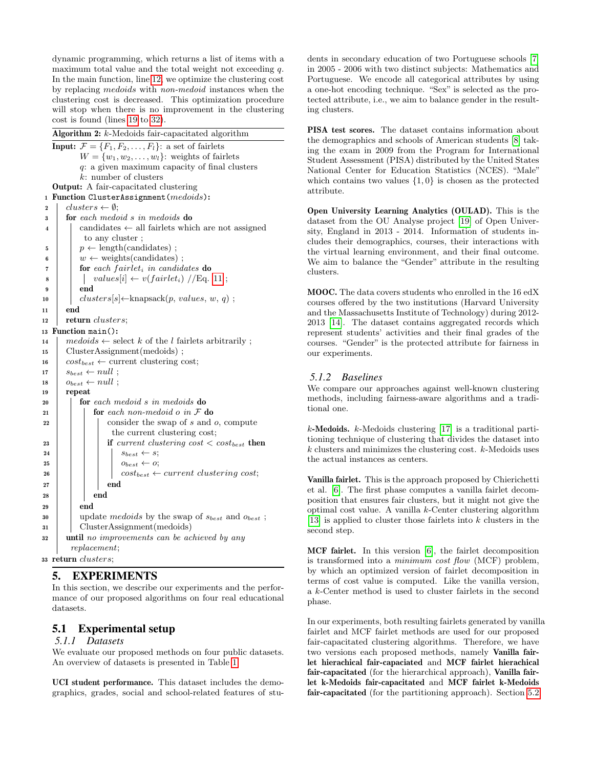dynamic programming, which returns a list of items with a maximum total value and the total weight not exceeding q. In the main function, line [12,](#page-4-3) we optimize the clustering cost by replacing medoids with non-medoid instances when the clustering cost is decreased. This optimization procedure will stop when there is no improvement in the clustering cost is found (lines [19](#page-4-4) to [32\)](#page-4-5).

<span id="page-4-3"></span><span id="page-4-2"></span><span id="page-4-1"></span>

|    | Algorithm 2: k-Medoids fair-capacitated algorithm                                      |  |  |  |  |  |  |  |  |
|----|----------------------------------------------------------------------------------------|--|--|--|--|--|--|--|--|
|    | <b>Input:</b> $\mathcal{F} = \{F_1, F_2, \dots, F_l\}$ : a set of fairlets             |  |  |  |  |  |  |  |  |
|    | $W = \{w_1, w_2, \ldots, w_l\}$ : weights of fairlets                                  |  |  |  |  |  |  |  |  |
|    | q: a given maximum capacity of final clusters                                          |  |  |  |  |  |  |  |  |
|    | $k$ : number of clusters                                                               |  |  |  |  |  |  |  |  |
|    | <b>Output:</b> A fair-capacitated clustering                                           |  |  |  |  |  |  |  |  |
| 1  | Function ClusterAssignment(medoids):                                                   |  |  |  |  |  |  |  |  |
| 2  | $clusters \leftarrow \emptyset;$                                                       |  |  |  |  |  |  |  |  |
| 3  | $\mathbf{for}$ each medoid s in medoids $\mathbf{do}$                                  |  |  |  |  |  |  |  |  |
| 4  | candidates $\leftarrow$ all fairlets which are not assigned                            |  |  |  |  |  |  |  |  |
|    | to any cluster;                                                                        |  |  |  |  |  |  |  |  |
| 5  | $p \leftarrow$ length(candidates);                                                     |  |  |  |  |  |  |  |  |
| 6  | $w \leftarrow$ weights (candidates);                                                   |  |  |  |  |  |  |  |  |
| 7  | for each fairlet, in candidates do                                                     |  |  |  |  |  |  |  |  |
| 8  | $values[i] \leftarrow v(fairlet_i) // Eq. 11;$                                         |  |  |  |  |  |  |  |  |
| 9  | end                                                                                    |  |  |  |  |  |  |  |  |
| 10 | $clusters[s] \leftarrow knapsack(p, values, w, q);$                                    |  |  |  |  |  |  |  |  |
| 11 | end                                                                                    |  |  |  |  |  |  |  |  |
| 12 | return <i>clusters</i> ;                                                               |  |  |  |  |  |  |  |  |
| 13 | Function $main$ ():                                                                    |  |  |  |  |  |  |  |  |
| 14 | $medoids \leftarrow \text{select } k \text{ of the } l \text{ fairlets arbitrarily };$ |  |  |  |  |  |  |  |  |
| 15 | $ClusterAssignment(medoids)$ ;                                                         |  |  |  |  |  |  |  |  |
| 16 | $cost_{best} \leftarrow$ current clustering cost;                                      |  |  |  |  |  |  |  |  |
| 17 | $s_{best} \leftarrow null$ ;                                                           |  |  |  |  |  |  |  |  |
| 18 | $o_{best} \leftarrow null$ ;                                                           |  |  |  |  |  |  |  |  |
| 19 | repeat                                                                                 |  |  |  |  |  |  |  |  |
| 20 | <b>for</b> each medoid s in medoids <b>do</b>                                          |  |  |  |  |  |  |  |  |
| 21 | for each non-medoid $o$ in $F$ do                                                      |  |  |  |  |  |  |  |  |
| 22 | consider the swap of $s$ and $o$ , compute                                             |  |  |  |  |  |  |  |  |
|    | the current clustering cost;                                                           |  |  |  |  |  |  |  |  |
| 23 | if current clustering cost $\langle \cos t_{best} \rangle$ then                        |  |  |  |  |  |  |  |  |
| 24 | $s_{best} \leftarrow s;$                                                               |  |  |  |  |  |  |  |  |
| 25 | $o_{best} \leftarrow o;$                                                               |  |  |  |  |  |  |  |  |
| 26 | $cost_{best} \leftarrow current$ clustering cost;                                      |  |  |  |  |  |  |  |  |
| 27 | end                                                                                    |  |  |  |  |  |  |  |  |
| 28 | end                                                                                    |  |  |  |  |  |  |  |  |
| 29 | end                                                                                    |  |  |  |  |  |  |  |  |
| 30 | update medoids by the swap of $s_{best}$ and $o_{best}$ ;                              |  |  |  |  |  |  |  |  |
| 31 | ClusterAssignment(medoids)                                                             |  |  |  |  |  |  |  |  |
| 32 | <b>until</b> no improvements can be achieved by any                                    |  |  |  |  |  |  |  |  |
|    | <i>replacement</i> ;                                                                   |  |  |  |  |  |  |  |  |
|    | 33 return <i>clusters</i> ;                                                            |  |  |  |  |  |  |  |  |

# <span id="page-4-5"></span><span id="page-4-4"></span><span id="page-4-0"></span>5. EXPERIMENTS

In this section, we describe our experiments and the performance of our proposed algorithms on four real educational datasets.

# 5.1 Experimental setup

# *5.1.1 Datasets*

We evaluate our proposed methods on four public datasets. An overview of datasets is presented in Table [1.](#page-5-0)

UCI student performance. This dataset includes the demographics, grades, social and school-related features of students in secondary education of two Portuguese schools [\[7\]](#page-9-27) in 2005 - 2006 with two distinct subjects: Mathematics and Portuguese. We encode all categorical attributes by using a one-hot encoding technique. "Sex" is selected as the protected attribute, i.e., we aim to balance gender in the resulting clusters.

PISA test scores. The dataset contains information about the demographics and schools of American students [\[8\]](#page-9-28) taking the exam in 2009 from the Program for International Student Assessment (PISA) distributed by the United States National Center for Education Statistics (NCES). "Male" which contains two values  $\{1,0\}$  is chosen as the protected attribute.

Open University Learning Analytics (OULAD). This is the dataset from the OU Analyse project [\[19\]](#page-9-29) of Open University, England in 2013 - 2014. Information of students includes their demographics, courses, their interactions with the virtual learning environment, and their final outcome. We aim to balance the "Gender" attribute in the resulting clusters.

MOOC. The data covers students who enrolled in the 16 edX courses offered by the two institutions (Harvard University and the Massachusetts Institute of Technology) during 2012- 2013 [\[14\]](#page-9-30). The dataset contains aggregated records which represent students' activities and their final grades of the courses. "Gender" is the protected attribute for fairness in our experiments.

# *5.1.2 Baselines*

We compare our approaches against well-known clustering methods, including fairness-aware algorithms and a traditional one.

 $k$ -Medoids.  $k$ -Medoids clustering [\[17\]](#page-9-31) is a traditional partitioning technique of clustering that divides the dataset into k clusters and minimizes the clustering cost. k-Medoids uses the actual instances as centers.

Vanilla fairlet. This is the approach proposed by Chierichetti et al. [\[6\]](#page-9-16). The first phase computes a vanilla fairlet decomposition that ensures fair clusters, but it might not give the optimal cost value. A vanilla k-Center clustering algorithm [\[13\]](#page-9-32) is applied to cluster those fairlets into k clusters in the second step.

MCF fairlet. In this version [\[6\]](#page-9-16), the fairlet decomposition is transformed into a minimum cost flow (MCF) problem, by which an optimized version of fairlet decomposition in terms of cost value is computed. Like the vanilla version, a k-Center method is used to cluster fairlets in the second phase.

In our experiments, both resulting fairlets generated by vanilla fairlet and MCF fairlet methods are used for our proposed fair-capacitated clustering algorithms. Therefore, we have two versions each proposed methods, namely Vanilla fairlet hierachical fair-capaciated and MCF fairlet hierachical fair-capacitated (for the hierarchical approach), Vanilla fairlet k-Medoids fair-capacitated and MCF fairlet k-Medoids fair-capacitated (for the partitioning approach). Section [5.2](#page-5-1)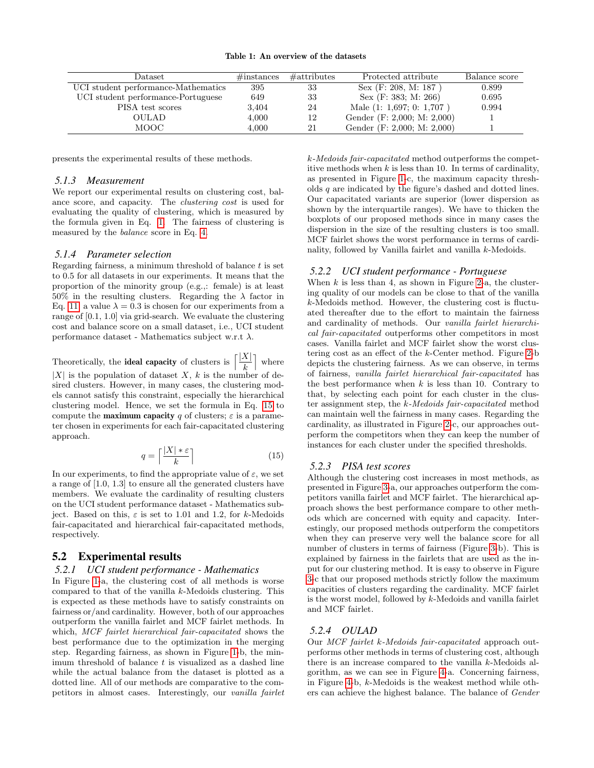| Table 1: An overview of the datasets |  |
|--------------------------------------|--|
|--------------------------------------|--|

<span id="page-5-0"></span>

| Dataset.                            | $\#\text{instances}$ | $\#$ attributes | Protected attribute         | Balance score |
|-------------------------------------|----------------------|-----------------|-----------------------------|---------------|
| UCI student performance-Mathematics | 395                  | 33              | Sex (F: 208, M: 187)        | 0.899         |
| UCI student performance-Portuguese  | 649                  | 33              | Sex (F: 383; M: 266)        | 0.695         |
| PISA test scores                    | 3,404                | 24              | Male $(1: 1,697; 0: 1,707)$ | 0.994         |
| OULAD                               | 4,000                | 12              | Gender (F: 2,000; M: 2,000) |               |
| MOOC.                               | 4.000                | 21              | Gender (F: 2,000; M: 2,000) |               |

presents the experimental results of these methods.

### *5.1.3 Measurement*

We report our experimental results on clustering cost, balance score, and capacity. The clustering cost is used for evaluating the quality of clustering, which is measured by the formula given in Eq. [1.](#page-1-4) The fairness of clustering is measured by the balance score in Eq. [4.](#page-2-6)

#### <span id="page-5-3"></span>*5.1.4 Parameter selection*

Regarding fairness, a minimum threshold of balance  $t$  is set to 0.5 for all datasets in our experiments. It means that the proportion of the minority group (e.g.,: female) is at least  $50\%$  in the resulting clusters. Regarding the  $\lambda$  factor in Eq. [11,](#page-3-5) a value  $\lambda = 0.3$  is chosen for our experiments from a range of [0.1, 1.0] via grid-search. We evaluate the clustering cost and balance score on a small dataset, i.e., UCI student performance dataset - Mathematics subject w.r.t  $\lambda$ .

Theoretically, the **ideal capacity** of clusters is  $\left[\frac{|X|}{N}\right]$ k | where |X| is the population of dataset X, k is the number of desired clusters. However, in many cases, the clustering models cannot satisfy this constraint, especially the hierarchical clustering model. Hence, we set the formula in Eq. [15](#page-5-2) to compute the **maximum capacity** q of clusters;  $\varepsilon$  is a parameter chosen in experiments for each fair-capacitated clustering approach.

<span id="page-5-2"></span>
$$
q = \left\lceil \frac{|X| * \varepsilon}{k} \right\rceil \tag{15}
$$

In our experiments, to find the appropriate value of  $\varepsilon$ , we set a range of [1.0, 1.3] to ensure all the generated clusters have members. We evaluate the cardinality of resulting clusters on the UCI student performance dataset - Mathematics subject. Based on this,  $\varepsilon$  is set to 1.01 and 1.2, for k-Medoids fair-capacitated and hierarchical fair-capacitated methods, respectively.

# <span id="page-5-1"></span>5.2 Experimental results

### *5.2.1 UCI student performance - Mathematics*

In Figure [1-](#page-6-0)a, the clustering cost of all methods is worse compared to that of the vanilla k-Medoids clustering. This is expected as these methods have to satisfy constraints on fairness or/and cardinality. However, both of our approaches outperform the vanilla fairlet and MCF fairlet methods. In which, MCF fairlet hierarchical fair-capacitated shows the best performance due to the optimization in the merging step. Regarding fairness, as shown in Figure [1-](#page-6-0)b, the minimum threshold of balance  $t$  is visualized as a dashed line while the actual balance from the dataset is plotted as a dotted line. All of our methods are comparative to the competitors in almost cases. Interestingly, our vanilla fairlet k-Medoids fair-capacitated method outperforms the competitive methods when  $k$  is less than 10. In terms of cardinality, as presented in Figure [1-](#page-6-0)c, the maximum capacity thresholds q are indicated by the figure's dashed and dotted lines. Our capacitated variants are superior (lower dispersion as shown by the interquartile ranges). We have to thicken the boxplots of our proposed methods since in many cases the dispersion in the size of the resulting clusters is too small. MCF fairlet shows the worst performance in terms of cardinality, followed by Vanilla fairlet and vanilla k-Medoids.

#### *5.2.2 UCI student performance - Portuguese*

When  $k$  is less than 4, as shown in Figure [2-](#page-6-1)a, the clustering quality of our models can be close to that of the vanilla k-Medoids method. However, the clustering cost is fluctuated thereafter due to the effort to maintain the fairness and cardinality of methods. Our vanilla fairlet hierarchical fair-capacitated outperforms other competitors in most cases. Vanilla fairlet and MCF fairlet show the worst clustering cost as an effect of the k-Center method. Figure [2-](#page-6-1)b depicts the clustering fairness. As we can observe, in terms of fairness, vanilla fairlet hierarchical fair-capacitated has the best performance when  $k$  is less than 10. Contrary to that, by selecting each point for each cluster in the cluster assignment step, the k-Medoids fair-capacitated method can maintain well the fairness in many cases. Regarding the cardinality, as illustrated in Figure [2-](#page-6-1)c, our approaches outperform the competitors when they can keep the number of instances for each cluster under the specified thresholds.

### *5.2.3 PISA test scores*

Although the clustering cost increases in most methods, as presented in Figure [3-](#page-7-1)a, our approaches outperform the competitors vanilla fairlet and MCF fairlet. The hierarchical approach shows the best performance compare to other methods which are concerned with equity and capacity. Interestingly, our proposed methods outperform the competitors when they can preserve very well the balance score for all number of clusters in terms of fairness (Figure [3-](#page-7-1)b). This is explained by fairness in the fairlets that are used as the input for our clustering method. It is easy to observe in Figure [3-](#page-7-1)c that our proposed methods strictly follow the maximum capacities of clusters regarding the cardinality. MCF fairlet is the worst model, followed by k-Medoids and vanilla fairlet and MCF fairlet.

### *5.2.4 OULAD*

Our MCF fairlet k-Medoids fair-capacitated approach outperforms other methods in terms of clustering cost, although there is an increase compared to the vanilla k-Medoids algorithm, as we can see in Figure [4-](#page-8-0)a. Concerning fairness, in Figure [4-](#page-8-0)b, k-Medoids is the weakest method while others can achieve the highest balance. The balance of Gender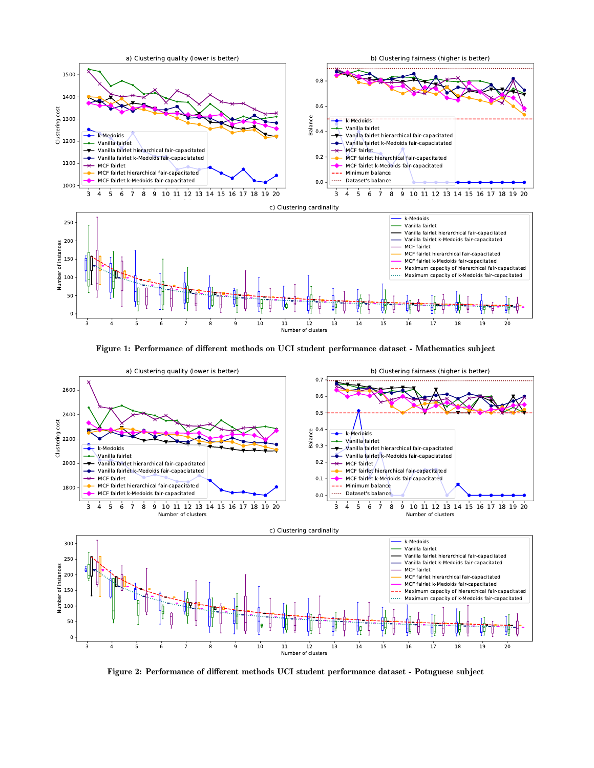<span id="page-6-0"></span>

Figure 1: Performance of different methods on UCI student performance dataset - Mathematics subject

<span id="page-6-1"></span>

Figure 2: Performance of different methods UCI student performance dataset - Potuguese subject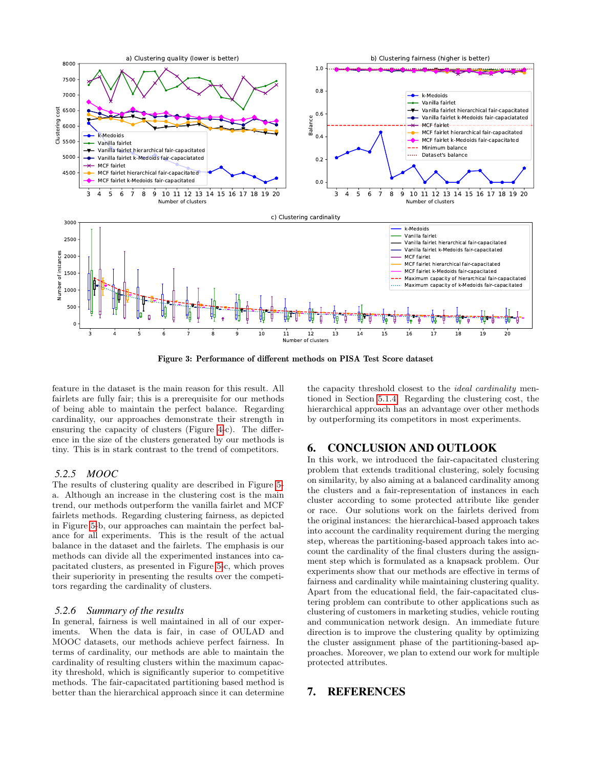<span id="page-7-1"></span>

Figure 3: Performance of different methods on PISA Test Score dataset

feature in the dataset is the main reason for this result. All fairlets are fully fair; this is a prerequisite for our methods of being able to maintain the perfect balance. Regarding cardinality, our approaches demonstrate their strength in ensuring the capacity of clusters (Figure [4-](#page-8-0)c). The difference in the size of the clusters generated by our methods is tiny. This is in stark contrast to the trend of competitors.

## *5.2.5 MOOC*

The results of clustering quality are described in Figure [5](#page-8-1) a. Although an increase in the clustering cost is the main trend, our methods outperform the vanilla fairlet and MCF fairlets methods. Regarding clustering fairness, as depicted in Figure [5-](#page-8-1)b, our approaches can maintain the perfect balance for all experiments. This is the result of the actual balance in the dataset and the fairlets. The emphasis is our methods can divide all the experimented instances into capacitated clusters, as presented in Figure [5-](#page-8-1)c, which proves their superiority in presenting the results over the competitors regarding the cardinality of clusters.

#### *5.2.6 Summary of the results*

In general, fairness is well maintained in all of our experiments. When the data is fair, in case of OULAD and MOOC datasets, our methods achieve perfect fairness. In terms of cardinality, our methods are able to maintain the cardinality of resulting clusters within the maximum capacity threshold, which is significantly superior to competitive methods. The fair-capacitated partitioning based method is better than the hierarchical approach since it can determine the capacity threshold closest to the ideal cardinality mentioned in Section [5.1.4.](#page-5-3) Regarding the clustering cost, the hierarchical approach has an advantage over other methods by outperforming its competitors in most experiments.

# <span id="page-7-0"></span>6. CONCLUSION AND OUTLOOK

In this work, we introduced the fair-capacitated clustering problem that extends traditional clustering, solely focusing on similarity, by also aiming at a balanced cardinality among the clusters and a fair-representation of instances in each cluster according to some protected attribute like gender or race. Our solutions work on the fairlets derived from the original instances: the hierarchical-based approach takes into account the cardinality requirement during the merging step, whereas the partitioning-based approach takes into account the cardinality of the final clusters during the assignment step which is formulated as a knapsack problem. Our experiments show that our methods are effective in terms of fairness and cardinality while maintaining clustering quality. Apart from the educational field, the fair-capacitated clustering problem can contribute to other applications such as clustering of customers in marketing studies, vehicle routing and communication network design. An immediate future direction is to improve the clustering quality by optimizing the cluster assignment phase of the partitioning-based approaches. Moreover, we plan to extend our work for multiple protected attributes.

# 7. REFERENCES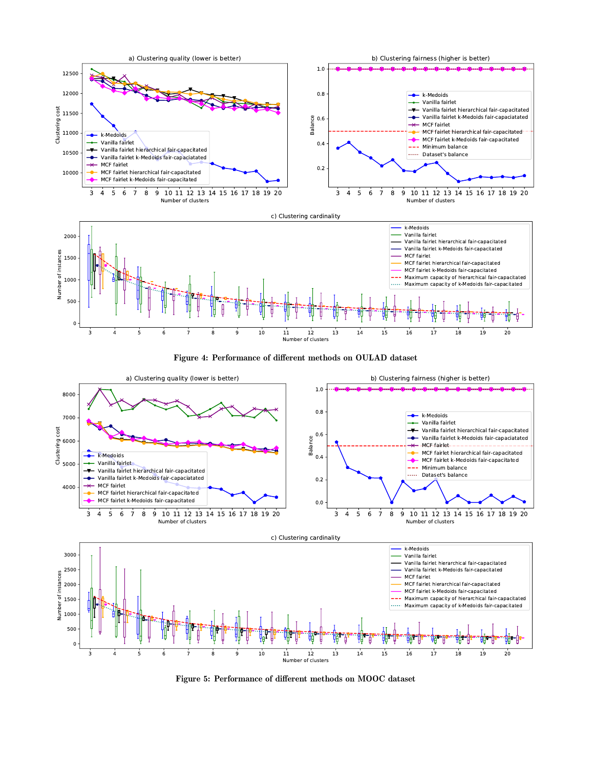<span id="page-8-0"></span>

Figure 4: Performance of different methods on OULAD dataset

<span id="page-8-1"></span>

Figure 5: Performance of different methods on MOOC dataset